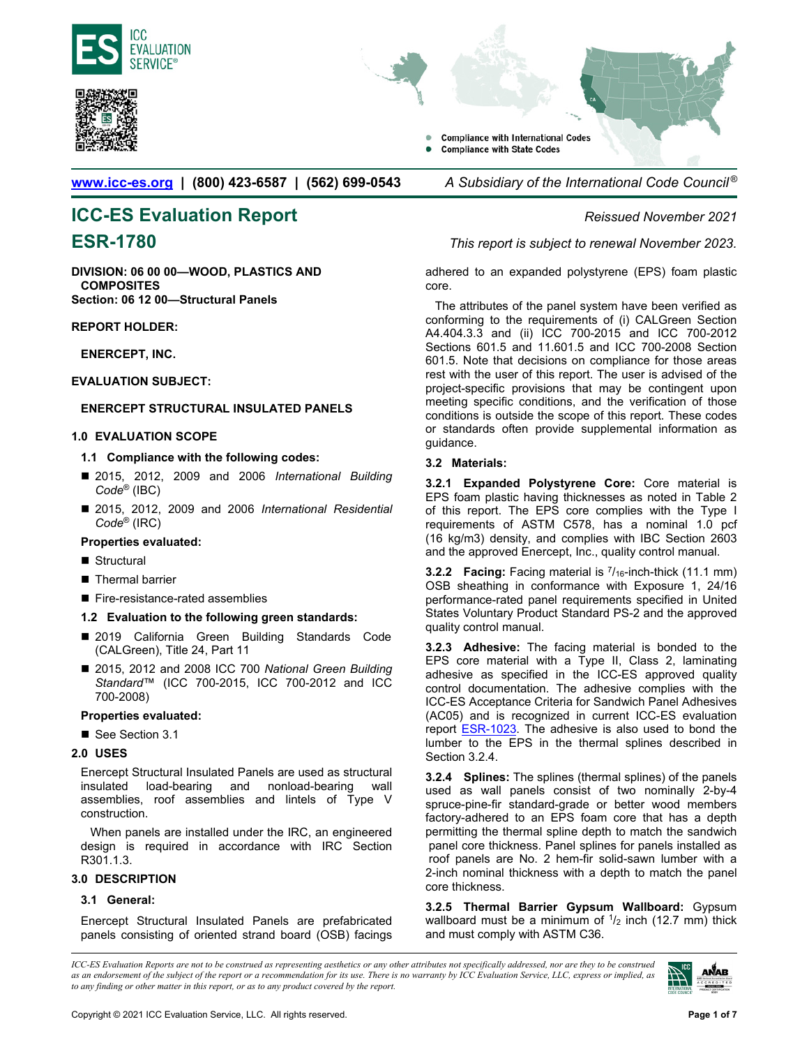





**[www.icc-es.org](http://www.icc-es.org/) | (800) 423-6587 | (562) 699-0543** *A Subsidiary of the International Code Council ®* 

# **ICC-ES Evaluation Report** *Reissued November 2021*

**DIVISION: 06 00 00—WOOD, PLASTICS AND COMPOSITES Section: 06 12 00—Structural Panels** 

#### **REPORT HOLDER:**

**ENERCEPT, INC.** 

### **EVALUATION SUBJECT:**

### **ENERCEPT STRUCTURAL INSULATED PANELS**

#### **1.0 EVALUATION SCOPE**

#### **1.1 Compliance with the following codes:**

- 2015, 2012, 2009 and 2006 *International Building Code*® (IBC)
- 2015, 2012, 2009 and 2006 *International Residential Code*® (IRC)

#### **Properties evaluated:**

- Structural
- Thermal barrier
- Fire-resistance-rated assemblies

#### **1.2 Evaluation to the following green standards:**

- 2019 California Green Building Standards Code (CALGreen), Title 24, Part 11
- 2015, 2012 and 2008 ICC 700 *National Green Building Standard*™ (ICC 700-2015, ICC 700-2012 and ICC 700-2008)

#### **Properties evaluated:**

See Section 3.1

#### **2.0 USES**

Enercept Structural Insulated Panels are used as structural insulated load-bearing and nonload-bearing wall assemblies, roof assemblies and lintels of Type V construction.

When panels are installed under the IRC, an engineered design is required in accordance with IRC Section R301.1.3.

#### **3.0 DESCRIPTION**

#### **3.1 General:**

Enercept Structural Insulated Panels are prefabricated panels consisting of oriented strand board (OSB) facings

**ESR-1780** *This report is subject to renewal November 2023.*

adhered to an expanded polystyrene (EPS) foam plastic core.

The attributes of the panel system have been verified as conforming to the requirements of (i) CALGreen Section A4.404.3.3 and (ii) ICC 700-2015 and ICC 700-2012 Sections 601.5 and 11.601.5 and ICC 700-2008 Section 601.5. Note that decisions on compliance for those areas rest with the user of this report. The user is advised of the project-specific provisions that may be contingent upon meeting specific conditions, and the verification of those conditions is outside the scope of this report. These codes or standards often provide supplemental information as guidance.

#### **3.2 Materials:**

**3.2.1 Expanded Polystyrene Core:** Core material is EPS foam plastic having thicknesses as noted in Table 2 of this report. The EPS core complies with the Type I requirements of ASTM C578, has a nominal 1.0 pcf (16 kg/m3) density, and complies with IBC Section 2603 and the approved Enercept, Inc., quality control manual.

**3.2.2 Facing:** Facing material is  $7/16$ -inch-thick (11.1 mm) OSB sheathing in conformance with Exposure 1, 24/16 performance-rated panel requirements specified in United States Voluntary Product Standard PS-2 and the approved quality control manual.

**3.2.3 Adhesive:** The facing material is bonded to the EPS core material with a Type II, Class 2, laminating adhesive as specified in the ICC-ES approved quality control documentation. The adhesive complies with the ICC-ES Acceptance Criteria for Sandwich Panel Adhesives (AC05) and is recognized in current ICC-ES evaluation report [ESR-1023.](http://www.icc-es.org/reports/pdf_files/ICC-ES/ESR-1023.pdf) The adhesive is also used to bond the lumber to the EPS in the thermal splines described in Section 3.2.4.

**3.2.4 Splines:** The splines (thermal splines) of the panels used as wall panels consist of two nominally 2-by-4 spruce-pine-fir standard-grade or better wood members factory-adhered to an EPS foam core that has a depth permitting the thermal spline depth to match the sandwich panel core thickness. Panel splines for panels installed as roof panels are No. 2 hem-fir solid-sawn lumber with a 2-inch nominal thickness with a depth to match the panel core thickness.

**3.2.5 Thermal Barrier Gypsum Wallboard:** Gypsum wallboard must be a minimum of  $1/2$  inch (12.7 mm) thick and must comply with ASTM C36.

*ICC-ES Evaluation Reports are not to be construed as representing aesthetics or any other attributes not specifically addressed, nor are they to be construed as an endorsement of the subject of the report or a recommendation for its use. There is no warranty by ICC Evaluation Service, LLC, express or implied, as to any finding or other matter in this report, or as to any product covered by the report.*

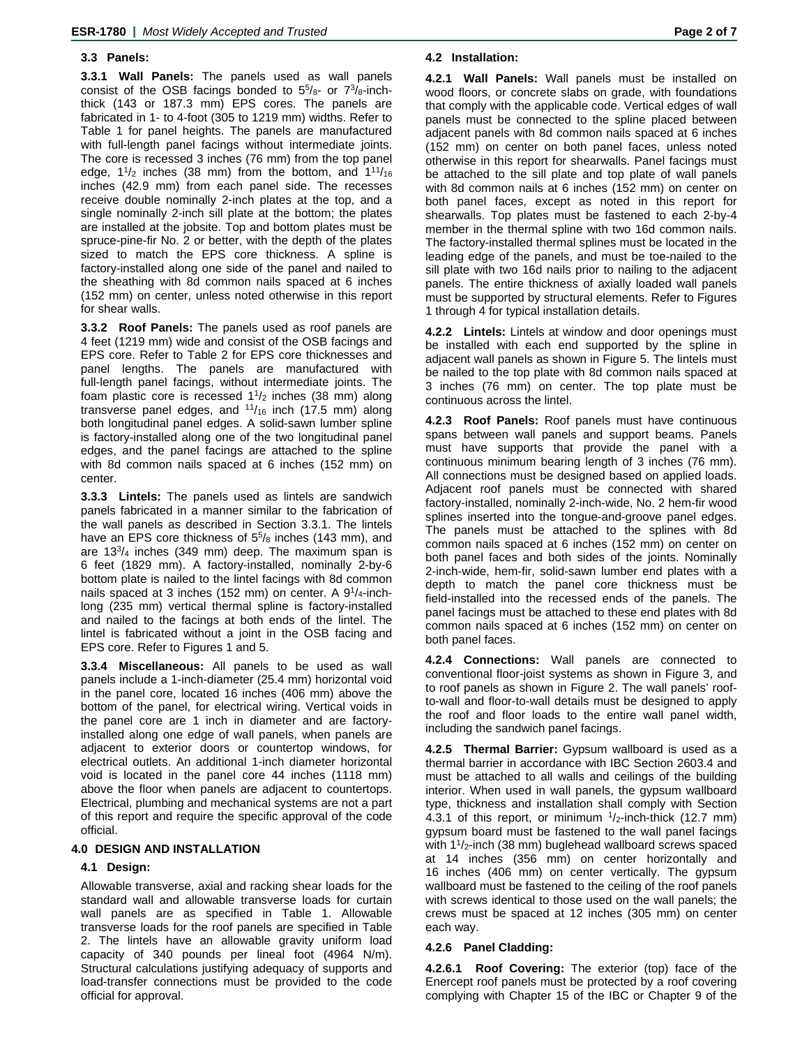#### **3.3 Panels:**

**3.3.1 Wall Panels:** The panels used as wall panels consist of the OSB facings bonded to  $5\frac{5}{8}$ - or  $7\frac{3}{8}$ -inchthick (143 or 187.3 mm) EPS cores. The panels are fabricated in 1- to 4-foot (305 to 1219 mm) widths. Refer to Table 1 for panel heights. The panels are manufactured with full-length panel facings without intermediate joints. The core is recessed 3 inches (76 mm) from the top panel edge,  $1\frac{1}{2}$  inches (38 mm) from the bottom, and  $1\frac{11}{16}$ inches (42.9 mm) from each panel side. The recesses receive double nominally 2-inch plates at the top, and a single nominally 2-inch sill plate at the bottom; the plates are installed at the jobsite. Top and bottom plates must be spruce-pine-fir No. 2 or better, with the depth of the plates sized to match the EPS core thickness. A spline is factory-installed along one side of the panel and nailed to the sheathing with 8d common nails spaced at 6 inches (152 mm) on center, unless noted otherwise in this report for shear walls.

**3.3.2 Roof Panels:** The panels used as roof panels are 4 feet (1219 mm) wide and consist of the OSB facings and EPS core. Refer to Table 2 for EPS core thicknesses and panel lengths. The panels are manufactured with full-length panel facings, without intermediate joints. The foam plastic core is recessed  $1\frac{1}{2}$  inches (38 mm) along transverse panel edges, and  $11/16$  inch (17.5 mm) along both longitudinal panel edges. A solid-sawn lumber spline is factory-installed along one of the two longitudinal panel edges, and the panel facings are attached to the spline with 8d common nails spaced at 6 inches (152 mm) on center.

**3.3.3 Lintels:** The panels used as lintels are sandwich panels fabricated in a manner similar to the fabrication of the wall panels as described in Section 3.3.1. The lintels have an EPS core thickness of  $5\frac{5}{8}$  inches (143 mm), and are  $13^{3}/_{4}$  inches (349 mm) deep. The maximum span is 6 feet (1829 mm). A factory-installed, nominally 2-by-6 bottom plate is nailed to the lintel facings with 8d common nails spaced at 3 inches (152 mm) on center. A  $9^{1}/_{4}$ -inchlong (235 mm) vertical thermal spline is factory-installed and nailed to the facings at both ends of the lintel. The lintel is fabricated without a joint in the OSB facing and EPS core. Refer to Figures 1 and 5.

**3.3.4 Miscellaneous:** All panels to be used as wall panels include a 1-inch-diameter (25.4 mm) horizontal void in the panel core, located 16 inches (406 mm) above the bottom of the panel, for electrical wiring. Vertical voids in the panel core are 1 inch in diameter and are factoryinstalled along one edge of wall panels, when panels are adjacent to exterior doors or countertop windows, for electrical outlets. An additional 1-inch diameter horizontal void is located in the panel core 44 inches (1118 mm) above the floor when panels are adjacent to countertops. Electrical, plumbing and mechanical systems are not a part of this report and require the specific approval of the code official.

#### **4.0 DESIGN AND INSTALLATION**

#### **4.1 Design:**

Allowable transverse, axial and racking shear loads for the standard wall and allowable transverse loads for curtain wall panels are as specified in Table 1. Allowable transverse loads for the roof panels are specified in Table 2. The lintels have an allowable gravity uniform load capacity of 340 pounds per lineal foot (4964 N/m). Structural calculations justifying adequacy of supports and load-transfer connections must be provided to the code official for approval.

#### **4.2 Installation:**

**4.2.1 Wall Panels:** Wall panels must be installed on wood floors, or concrete slabs on grade, with foundations that comply with the applicable code. Vertical edges of wall panels must be connected to the spline placed between adjacent panels with 8d common nails spaced at 6 inches (152 mm) on center on both panel faces, unless noted otherwise in this report for shearwalls. Panel facings must be attached to the sill plate and top plate of wall panels with 8d common nails at 6 inches (152 mm) on center on both panel faces, except as noted in this report for shearwalls. Top plates must be fastened to each 2-by-4 member in the thermal spline with two 16d common nails. The factory-installed thermal splines must be located in the leading edge of the panels, and must be toe-nailed to the sill plate with two 16d nails prior to nailing to the adjacent panels. The entire thickness of axially loaded wall panels must be supported by structural elements. Refer to Figures 1 through 4 for typical installation details.

**4.2.2 Lintels:** Lintels at window and door openings must be installed with each end supported by the spline in adjacent wall panels as shown in Figure 5. The lintels must be nailed to the top plate with 8d common nails spaced at 3 inches (76 mm) on center. The top plate must be continuous across the lintel.

**4.2.3 Roof Panels:** Roof panels must have continuous spans between wall panels and support beams. Panels must have supports that provide the panel with a continuous minimum bearing length of 3 inches (76 mm). All connections must be designed based on applied loads. Adjacent roof panels must be connected with shared factory-installed, nominally 2-inch-wide, No. 2 hem-fir wood splines inserted into the tongue-and-groove panel edges. The panels must be attached to the splines with 8d common nails spaced at 6 inches (152 mm) on center on both panel faces and both sides of the joints. Nominally 2-inch-wide, hem-fir, solid-sawn lumber end plates with a depth to match the panel core thickness must be field-installed into the recessed ends of the panels. The panel facings must be attached to these end plates with 8d common nails spaced at 6 inches (152 mm) on center on both panel faces.

**4.2.4 Connections:** Wall panels are connected to conventional floor-joist systems as shown in Figure 3, and to roof panels as shown in Figure 2. The wall panels' roofto-wall and floor-to-wall details must be designed to apply the roof and floor loads to the entire wall panel width, including the sandwich panel facings.

**4.2.5 Thermal Barrier:** Gypsum wallboard is used as a thermal barrier in accordance with IBC Section 2603.4 and must be attached to all walls and ceilings of the building interior. When used in wall panels, the gypsum wallboard type, thickness and installation shall comply with Section 4.3.1 of this report, or minimum  $1/2$ -inch-thick (12.7 mm) gypsum board must be fastened to the wall panel facings with 1<sup>1</sup>/<sub>2</sub>-inch (38 mm) buglehead wallboard screws spaced at 14 inches (356 mm) on center horizontally and 16 inches (406 mm) on center vertically. The gypsum wallboard must be fastened to the ceiling of the roof panels with screws identical to those used on the wall panels; the crews must be spaced at 12 inches (305 mm) on center each way.

#### **4.2.6 Panel Cladding:**

**4.2.6.1 Roof Covering:** The exterior (top) face of the Enercept roof panels must be protected by a roof covering complying with Chapter 15 of the IBC or Chapter 9 of the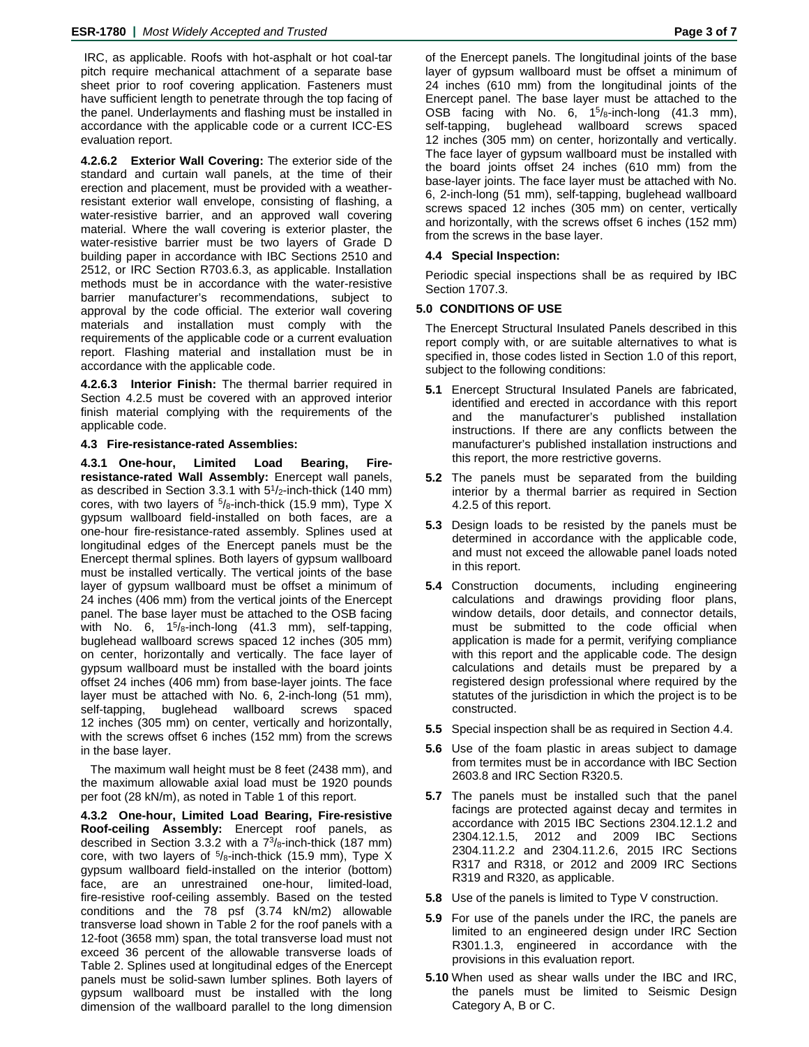IRC, as applicable. Roofs with hot-asphalt or hot coal-tar pitch require mechanical attachment of a separate base sheet prior to roof covering application. Fasteners must have sufficient length to penetrate through the top facing of the panel. Underlayments and flashing must be installed in accordance with the applicable code or a current ICC-ES evaluation report.

**4.2.6.2 Exterior Wall Covering:** The exterior side of the standard and curtain wall panels, at the time of their erection and placement, must be provided with a weatherresistant exterior wall envelope, consisting of flashing, a water-resistive barrier, and an approved wall covering material. Where the wall covering is exterior plaster, the water-resistive barrier must be two layers of Grade D building paper in accordance with IBC Sections 2510 and 2512, or IRC Section R703.6.3, as applicable. Installation methods must be in accordance with the water-resistive barrier manufacturer's recommendations, subject to approval by the code official. The exterior wall covering materials and installation must comply with the requirements of the applicable code or a current evaluation report. Flashing material and installation must be in accordance with the applicable code.

**4.2.6.3 Interior Finish:** The thermal barrier required in Section 4.2.5 must be covered with an approved interior finish material complying with the requirements of the applicable code.

**4.3 Fire-resistance-rated Assemblies:**

**4.3.1 One-hour, Limited Load Bearing, Fireresistance-rated Wall Assembly:** Enercept wall panels, as described in Section 3.3.1 with  $5<sup>1</sup>/2$ -inch-thick (140 mm) cores, with two layers of  $5/8$ -inch-thick (15.9 mm), Type X gypsum wallboard field-installed on both faces, are a one-hour fire-resistance-rated assembly. Splines used at longitudinal edges of the Enercept panels must be the Enercept thermal splines. Both layers of gypsum wallboard must be installed vertically. The vertical joints of the base layer of gypsum wallboard must be offset a minimum of 24 inches (406 mm) from the vertical joints of the Enercept panel. The base layer must be attached to the OSB facing with No. 6,  $1^{5}/8$ -inch-long (41.3 mm), self-tapping, buglehead wallboard screws spaced 12 inches (305 mm) on center, horizontally and vertically. The face layer of gypsum wallboard must be installed with the board joints offset 24 inches (406 mm) from base-layer joints. The face layer must be attached with No. 6, 2-inch-long (51 mm), self-tapping, buglehead wallboard screws spaced 12 inches (305 mm) on center, vertically and horizontally, with the screws offset 6 inches (152 mm) from the screws in the base layer.

The maximum wall height must be 8 feet (2438 mm), and the maximum allowable axial load must be 1920 pounds per foot (28 kN/m), as noted in Table 1 of this report.

**4.3.2 One-hour, Limited Load Bearing, Fire-resistive Roof-ceiling Assembly:** Enercept roof panels, as described in Section 3.3.2 with a  $7\frac{3}{8}$ -inch-thick (187 mm) core, with two layers of  $5/8$ -inch-thick (15.9 mm), Type X gypsum wallboard field-installed on the interior (bottom) face, are an unrestrained one-hour, limited-load, fire-resistive roof-ceiling assembly. Based on the tested conditions and the 78 psf (3.74 kN/m2) allowable transverse load shown in Table 2 for the roof panels with a 12-foot (3658 mm) span, the total transverse load must not exceed 36 percent of the allowable transverse loads of Table 2. Splines used at longitudinal edges of the Enercept panels must be solid-sawn lumber splines. Both layers of gypsum wallboard must be installed with the long dimension of the wallboard parallel to the long dimension

of the Enercept panels. The longitudinal joints of the base layer of gypsum wallboard must be offset a minimum of 24 inches (610 mm) from the longitudinal joints of the Enercept panel. The base layer must be attached to the OSB facing with No. 6,  $1^{5}/_8$ -inch-long (41.3 mm), self-tapping, buglehead wallboard screws spaced 12 inches (305 mm) on center, horizontally and vertically. The face layer of gypsum wallboard must be installed with the board joints offset 24 inches (610 mm) from the base-layer joints. The face layer must be attached with No. 6, 2-inch-long (51 mm), self-tapping, buglehead wallboard screws spaced 12 inches (305 mm) on center, vertically and horizontally, with the screws offset 6 inches (152 mm) from the screws in the base layer.

#### **4.4 Special Inspection:**

Periodic special inspections shall be as required by IBC Section 1707.3.

#### **5.0 CONDITIONS OF USE**

The Enercept Structural Insulated Panels described in this report comply with, or are suitable alternatives to what is specified in, those codes listed in Section 1.0 of this report, subject to the following conditions:

- **5.1** Enercept Structural Insulated Panels are fabricated, identified and erected in accordance with this report and the manufacturer's published installation instructions. If there are any conflicts between the manufacturer's published installation instructions and this report, the more restrictive governs.
- **5.2** The panels must be separated from the building interior by a thermal barrier as required in Section 4.2.5 of this report.
- **5.3** Design loads to be resisted by the panels must be determined in accordance with the applicable code, and must not exceed the allowable panel loads noted in this report.
- **5.4** Construction documents, including engineering calculations and drawings providing floor plans, window details, door details, and connector details, must be submitted to the code official when application is made for a permit, verifying compliance with this report and the applicable code. The design calculations and details must be prepared by a registered design professional where required by the statutes of the jurisdiction in which the project is to be constructed.
- **5.5** Special inspection shall be as required in Section 4.4.
- **5.6** Use of the foam plastic in areas subject to damage from termites must be in accordance with IBC Section 2603.8 and IRC Section R320.5.
- **5.7** The panels must be installed such that the panel facings are protected against decay and termites in accordance with 2015 IBC Sections 2304.12.1.2 and 2304.12.1.5, 2012 and 2009 IBC Sections 2304.11.2.2 and 2304.11.2.6, 2015 IRC Sections R317 and R318, or 2012 and 2009 IRC Sections R319 and R320, as applicable.
- **5.8** Use of the panels is limited to Type V construction.
- **5.9** For use of the panels under the IRC, the panels are limited to an engineered design under IRC Section R301.1.3, engineered in accordance with the provisions in this evaluation report.
- **5.10** When used as shear walls under the IBC and IRC, the panels must be limited to Seismic Design Category A, B or C.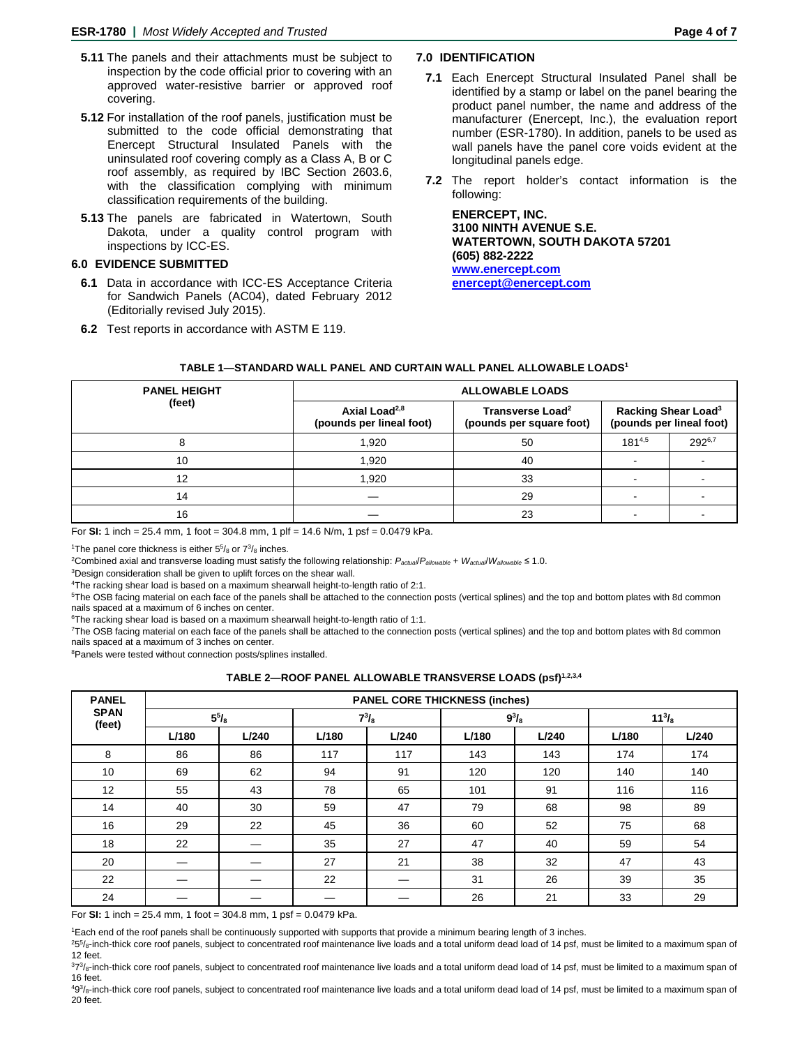- **5.11** The panels and their attachments must be subject to inspection by the code official prior to covering with an approved water-resistive barrier or approved roof covering.
- **5.12** For installation of the roof panels, justification must be submitted to the code official demonstrating that Enercept Structural Insulated Panels with the uninsulated roof covering comply as a Class A, B or C roof assembly, as required by IBC Section 2603.6, with the classification complying with minimum classification requirements of the building.
- **5.13** The panels are fabricated in Watertown, South Dakota, under a quality control program with inspections by ICC-ES.

#### **6.0 EVIDENCE SUBMITTED**

- **6.1** Data in accordance with ICC-ES Acceptance Criteria for Sandwich Panels (AC04), dated February 2012 (Editorially revised July 2015).
- **6.2** Test reports in accordance with ASTM E 119.

#### **7.0 IDENTIFICATION**

- **7.1** Each Enercept Structural Insulated Panel shall be identified by a stamp or label on the panel bearing the product panel number, the name and address of the manufacturer (Enercept, Inc.), the evaluation report number (ESR-1780). In addition, panels to be used as wall panels have the panel core voids evident at the longitudinal panels edge.
- **7.2** The report holder's contact information is the following:

**ENERCEPT, INC. 3100 NINTH AVENUE S.E. WATERTOWN, SOUTH DAKOTA 57201 (605) 882-2222 [www.enercept.com](http://www.enercept.com/) [enercept@enercept.com](mailto:enercept@enercept.com)**

| <b>PANEL HEIGHT</b><br>(feet) | <b>ALLOWABLE LOADS</b>                                                                                            |    |                          |                                                             |  |
|-------------------------------|-------------------------------------------------------------------------------------------------------------------|----|--------------------------|-------------------------------------------------------------|--|
|                               | Axial Load <sup>2,8</sup><br>Transverse Load <sup>2</sup><br>(pounds per lineal foot)<br>(pounds per square foot) |    |                          | Racking Shear Load <sup>3</sup><br>(pounds per lineal foot) |  |
|                               | 1,920                                                                                                             | 50 | 1814,5                   | 2926,7                                                      |  |
| 10                            | 1,920                                                                                                             | 40 | $\blacksquare$           |                                                             |  |
| 12                            | 1,920                                                                                                             | 33 |                          |                                                             |  |
| 14                            |                                                                                                                   | 29 | $\overline{\phantom{0}}$ |                                                             |  |
| 16                            |                                                                                                                   | 23 |                          |                                                             |  |

|  | TABLE 1—STANDARD WALL PANEL AND CURTAIN WALL PANEL ALLOWABLE LOADS' |
|--|---------------------------------------------------------------------|
|--|---------------------------------------------------------------------|

For **SI:** 1 inch = 25.4 mm, 1 foot = 304.8 mm, 1 plf = 14.6 N/m, 1 psf = 0.0479 kPa.

<sup>1</sup>The panel core thickness is either  $5\frac{5}{8}$  or  $7\frac{3}{8}$  inches.

2 Combined axial and transverse loading must satisfy the following relationship: *Pactual*/*Pallowable* + *Wactual*/*Wallowable* ≤ 1.0.

<sup>3</sup>Design consideration shall be given to uplift forces on the shear wall.

<sup>4</sup>The racking shear load is based on a maximum shearwall height-to-length ratio of 2:1.

5The OSB facing material on each face of the panels shall be attached to the connection posts (vertical splines) and the top and bottom plates with 8d common nails spaced at a maximum of 6 inches on center.

<sup>6</sup>The racking shear load is based on a maximum shearwall height-to-length ratio of 1:1.

<sup>7</sup>The OSB facing material on each face of the panels shall be attached to the connection posts (vertical splines) and the top and bottom plates with 8d common nails spaced at a maximum of 3 inches on center.

<sup>8</sup>Panels were tested without connection posts/splines installed.

|  | TABLE 2—ROOF PANEL ALLOWABLE TRANSVERSE LOADS (psf) <sup>1,2,3,4</sup> |  |
|--|------------------------------------------------------------------------|--|
|--|------------------------------------------------------------------------|--|

| <b>PANEL</b>          | <b>PANEL CORE THICKNESS (inches)</b> |       |              |       |              |       |               |       |
|-----------------------|--------------------------------------|-------|--------------|-------|--------------|-------|---------------|-------|
| <b>SPAN</b><br>(feet) | $5^{5}/_{8}$                         |       | $7^{3}I_{8}$ |       | $9^{3}/_{8}$ |       | $11^{3}/_{8}$ |       |
|                       | L/180                                | L/240 | L/180        | L/240 | L/180        | L/240 | L/180         | L/240 |
| 8                     | 86                                   | 86    | 117          | 117   | 143          | 143   | 174           | 174   |
| 10                    | 69                                   | 62    | 94           | 91    | 120          | 120   | 140           | 140   |
| 12                    | 55                                   | 43    | 78           | 65    | 101          | 91    | 116           | 116   |
| 14                    | 40                                   | 30    | 59           | 47    | 79           | 68    | 98            | 89    |
| 16                    | 29                                   | 22    | 45           | 36    | 60           | 52    | 75            | 68    |
| 18                    | 22                                   |       | 35           | 27    | 47           | 40    | 59            | 54    |
| 20                    |                                      |       | 27           | 21    | 38           | 32    | 47            | 43    |
| 22                    |                                      |       | 22           |       | 31           | 26    | 39            | 35    |
| 24                    |                                      |       |              |       | 26           | 21    | 33            | 29    |

For **SI:** 1 inch = 25.4 mm, 1 foot = 304.8 mm, 1 psf = 0.0479 kPa.

1 Each end of the roof panels shall be continuously supported with supports that provide a minimum bearing length of 3 inches.

<sup>2</sup>5<sup>5</sup>/8-inch-thick core roof panels, subject to concentrated roof maintenance live loads and a total uniform dead load of 14 psf, must be limited to a maximum span of 12 feet.

 $373/8$ -inch-thick core roof panels, subject to concentrated roof maintenance live loads and a total uniform dead load of 14 psf, must be limited to a maximum span of 16 feet.

<sup>493</sup>/8-inch-thick core roof panels, subject to concentrated roof maintenance live loads and a total uniform dead load of 14 psf, must be limited to a maximum span of 20 feet.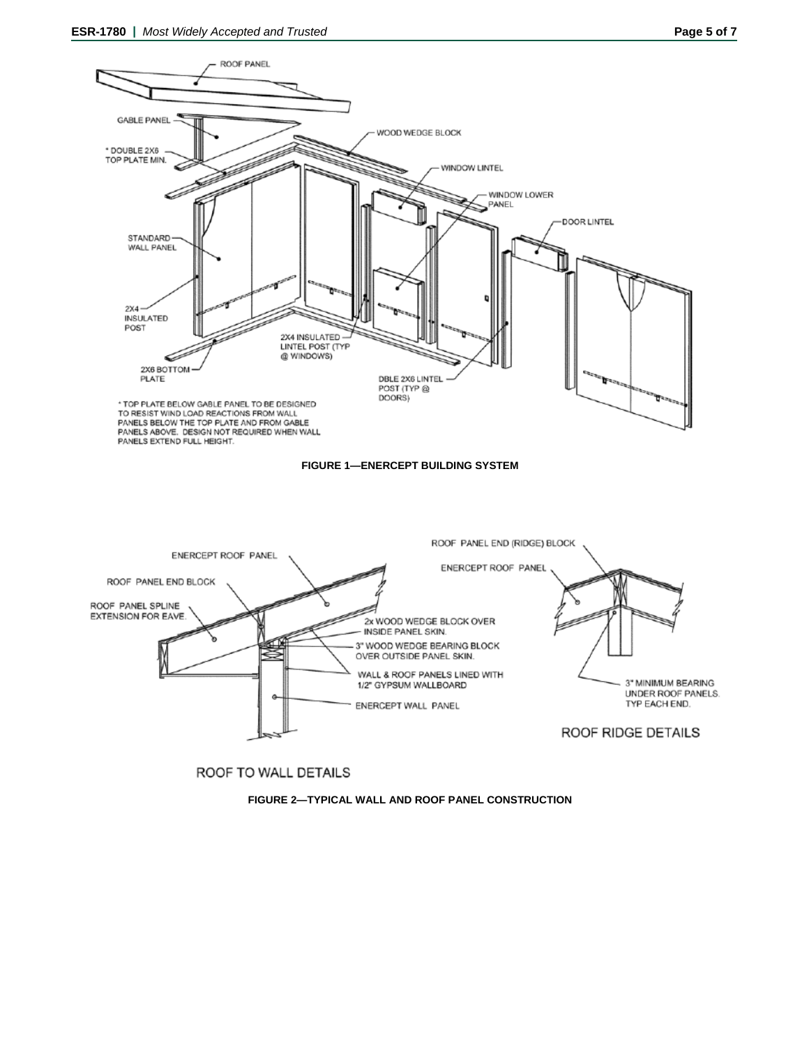



ROOF TO WALL DETAILS

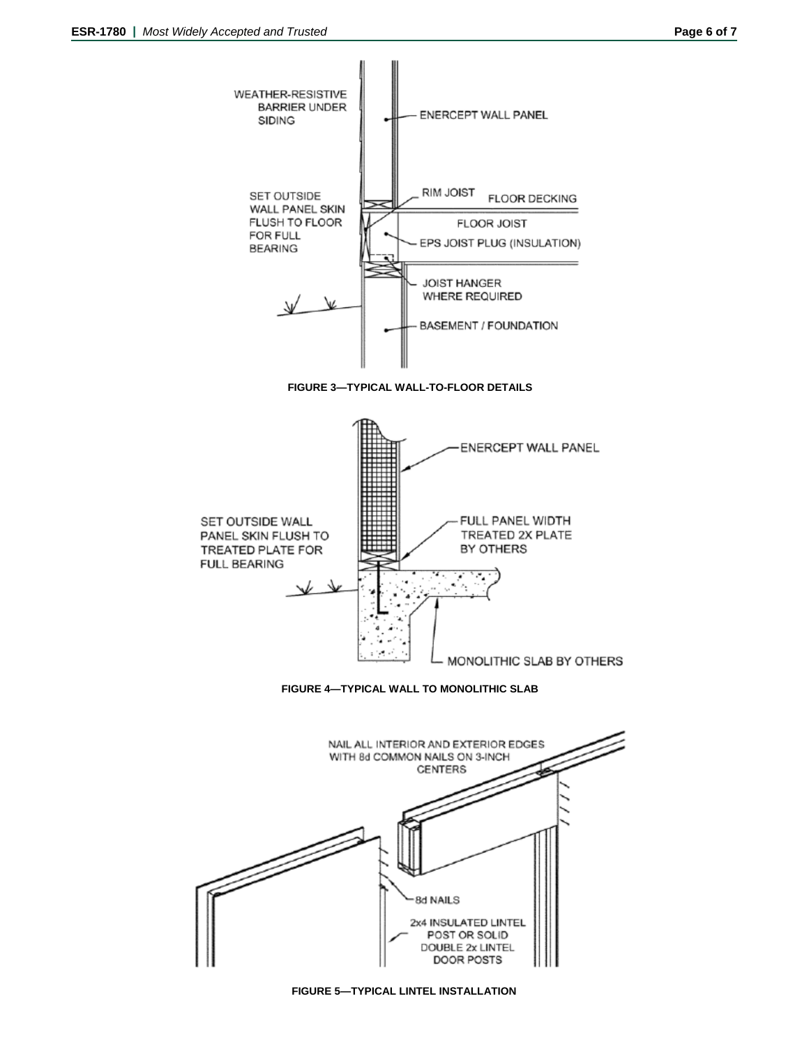

**FIGURE 5—TYPICAL LINTEL INSTALLATION**